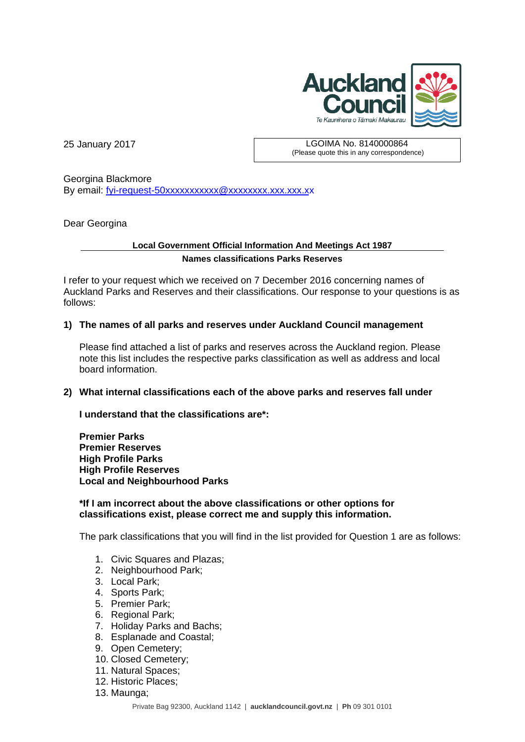

25 January 2017 LGOIMA No. 8140000864 (Please quote this in any correspondence)

Georgina Blackmore By email: fyi-request-50xxxxxxxxxxx @xxxxxxxx.xxx.xxx.xx

Dear Georgina

## **Local Government Official Information And Meetings Act 1987 Names classifications Parks Reserves**

I refer to your request which we received on 7 December 2016 concerning names of Auckland Parks and Reserves and their classifications. Our response to your questions is as follows:

## **1) The names of all parks and reserves under Auckland Council management**

Please find attached a list of parks and reserves across the Auckland region. Please note this list includes the respective parks classification as well as address and local board information.

## **2) What internal classifications each of the above parks and reserves fall under**

**I understand that the classifications are\*:** 

**Premier Parks Premier Reserves High Profile Parks High Profile Reserves Local and Neighbourhood Parks** 

**\*If I am incorrect about the above classifications or other options for classifications exist, please correct me and supply this information.** 

The park classifications that you will find in the list provided for Question 1 are as follows:

- 1. Civic Squares and Plazas;
- 2. Neighbourhood Park;
- 3. Local Park;
- 4. Sports Park;
- 5. Premier Park;
- 6. Regional Park;
- 7. Holiday Parks and Bachs;
- 8. Esplanade and Coastal;
- 9. Open Cemetery;
- 10. Closed Cemetery;
- 11. Natural Spaces;
- 12. Historic Places;
- 13. Maunga;